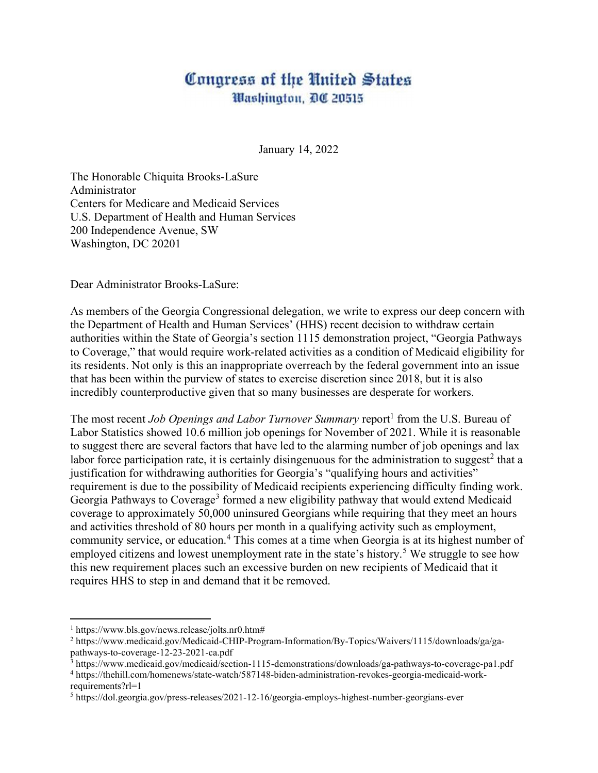## Conaress of the United States Washington, DC 20515

January 14, 2022

The Honorable Chiquita Brooks-LaSure Administrator Centers for Medicare and Medicaid Services U.S. Department of Health and Human Services 200 Independence Avenue, SW Washington, DC 20201

Dear Administrator Brooks-LaSure:

As members of the Georgia Congressional delegation, we write to express our deep concern with the Department of Health and Human Services' (HHS) recent decision to withdraw certain authorities within the State of Georgia's section 1115 demonstration project, "Georgia Pathways to Coverage," that would require work-related activities as a condition of Medicaid eligibility for its residents. Not only is this an inappropriate overreach by the federal government into an issue that has been within the purview of states to exercise discretion since 2018, but it is also incredibly counterproductive given that so many businesses are desperate for workers.

The most recent *Job Openings and Labor Turnover Summary* report<sup>1</sup> from the U.S. Bureau of Labor Statistics showed 10.6 million job openings for November of 2021. While it is reasonable to suggest there are several factors that have led to the alarming number of job openings and lax labor force participation rate, it is certainly disingenuous for the administration to suggest<sup>2</sup> that a justification for withdrawing authorities for Georgia's "qualifying hours and activities" requirement is due to the possibility of Medicaid recipients experiencing difficulty finding work. Georgia Pathways to Coverage<sup>3</sup> formed a new eligibility pathway that would extend Medicaid coverage to approximately 50,000 uninsured Georgians while requiring that they meet an hours and activities threshold of 80 hours per month in a qualifying activity such as employment, community service, or education.<sup>4</sup> This comes at a time when Georgia is at its highest number of employed citizens and lowest unemployment rate in the state's history.<sup>5</sup> We struggle to see how this new requirement places such an excessive burden on new recipients of Medicaid that it requires HHS to step in and demand that it be removed.

<sup>1</sup> https://www.bls.gov/news.release/jolts.nr0.htm#

<sup>2</sup> https://www.medicaid.gov/Medicaid-CHIP-Program-Information/By-Topics/Waivers/1115/downloads/ga/gapathways-to-coverage-12-23-2021-ca.pdf

<sup>3</sup> https://www.medicaid.gov/medicaid/section-1115-demonstrations/downloads/ga-pathways-to-coverage-pa1.pdf

<sup>4</sup> https://thehill.com/homenews/state-watch/587148-biden-administration-revokes-georgia-medicaid-workrequirements?rl=1

<sup>5</sup> https://dol.georgia.gov/press-releases/2021-12-16/georgia-employs-highest-number-georgians-ever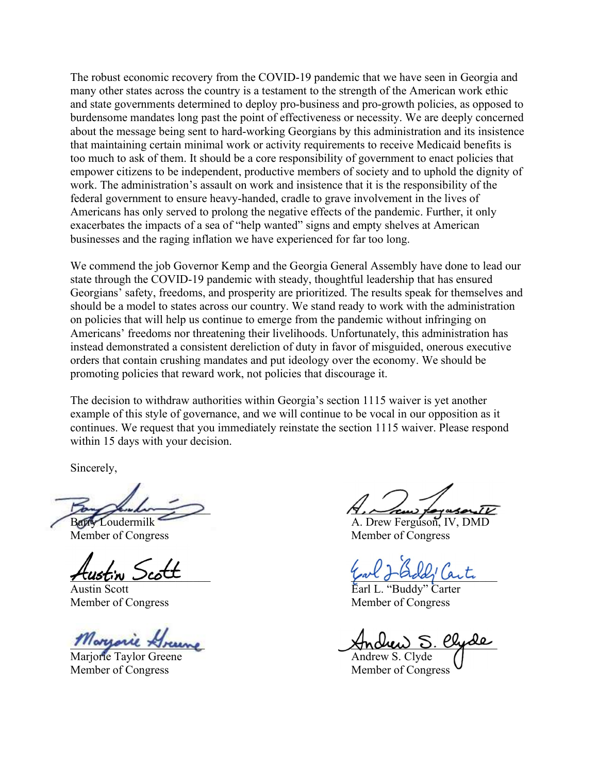The robust economic recovery from the COVID-19 pandemic that we have seen in Georgia and many other states across the country is a testament to the strength of the American work ethic and state governments determined to deploy pro-business and pro-growth policies, as opposed to burdensome mandates long past the point of effectiveness or necessity. We are deeply concerned about the message being sent to hard-working Georgians by this administration and its insistence that maintaining certain minimal work or activity requirements to receive Medicaid benefits is too much to ask of them. It should be a core responsibility of government to enact policies that empower citizens to be independent, productive members of society and to uphold the dignity of work. The administration's assault on work and insistence that it is the responsibility of the federal government to ensure heavy-handed, cradle to grave involvement in the lives of Americans has only served to prolong the negative effects of the pandemic. Further, it only exacerbates the impacts of a sea of "help wanted" signs and empty shelves at American businesses and the raging inflation we have experienced for far too long.

We commend the job Governor Kemp and the Georgia General Assembly have done to lead our state through the COVID-19 pandemic with steady, thoughtful leadership that has ensured Georgians' safety, freedoms, and prosperity are prioritized. The results speak for themselves and should be a model to states across our country. We stand ready to work with the administration on policies that will help us continue to emerge from the pandemic without infringing on Americans' freedoms nor threatening their livelihoods. Unfortunately, this administration has instead demonstrated a consistent dereliction of duty in favor of misguided, onerous executive orders that contain crushing mandates and put ideology over the economy. We should be promoting policies that reward work, not policies that discourage it.

The decision to withdraw authorities within Georgia's section 1115 waiver is yet another example of this style of governance, and we will continue to be vocal in our opposition as it continues. We request that you immediately reinstate the section 1115 waiver. Please respond within 15 days with your decision.

Sincerely,

ś

*Morrarie* 

Mariorie Taylor Greene **Andrew S. Clyde** Member of Congress Member of Congress

\_\_\_\_\_\_\_\_\_\_\_\_\_\_\_\_\_\_\_\_\_\_\_\_ \_\_\_\_\_\_\_\_\_\_\_\_\_\_\_\_\_\_\_\_\_\_\_\_\_

Barry Loudermilk A. Drew Ferguson, IV, DMD Member of Congress Member of Congress

Hustin Scott Table 1000 Jack

Austin Scott Earl L. "Buddy" Carter Member of Congress Member of Congress